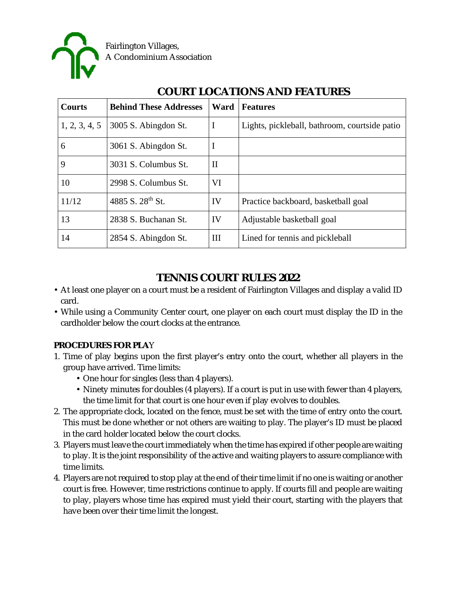

| <b>Courts</b> | <b>Behind These Addresses</b> | Ward        | <b>Features</b>                               |
|---------------|-------------------------------|-------------|-----------------------------------------------|
| 1, 2, 3, 4, 5 | 3005 S. Abingdon St.          | I           | Lights, pickleball, bathroom, courtside patio |
| 6             | 3061 S. Abingdon St.          | I           |                                               |
| 9             | 3031 S. Columbus St.          | $_{\rm II}$ |                                               |
| 10            | 2998 S. Columbus St.          | VI          |                                               |
| 11/12         | 4885 S. 28 <sup>th</sup> St.  | IV          | Practice backboard, basketball goal           |
| 13            | 2838 S. Buchanan St.          | IV          | Adjustable basketball goal                    |
| 14            | 2854 S. Abingdon St.          | Ш           | Lined for tennis and pickleball               |

# **COURT LOCATIONS AND FEATURES**

## **TENNIS COURT RULES 2022**

- At least one player on a court must be a resident of Fairlington Villages and display a valid ID card.
- While using a Community Center court, one player on each court must display the ID in the cardholder below the court clocks at the entrance.

### **PROCEDURES FOR PLA**Y

- 1. Time of play begins upon the first player's entry onto the court, whether all players in the group have arrived. Time limits:
	- One hour for singles (less than 4 players).
	- Ninety minutes for doubles (4 players). If a court is put in use with fewer than 4 players, the time limit for that court is one hour even if play evolves to doubles.
- 2. The appropriate clock, located on the fence, must be set with the time of entry onto the court. This must be done whether or not others are waiting to play. The player's ID must be placed in the card holder located below the court clocks.
- 3. Players must leave the court immediately when the time has expired if other people are waiting to play. It is the joint responsibility of the active and waiting players to assure compliance with time limits.
- 4. Players are not required to stop play at the end of their time limit if no one is waiting or another court is free. However, time restrictions continue to apply. If courts fill and people are waiting to play, players whose time has expired must yield their court, starting with the players that have been over their time limit the longest.